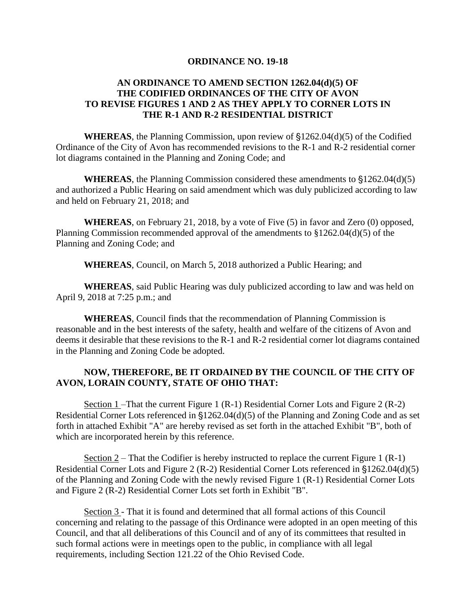## **ORDINANCE NO. 19-18**

## **AN ORDINANCE TO AMEND SECTION 1262.04(d)(5) OF THE CODIFIED ORDINANCES OF THE CITY OF AVON TO REVISE FIGURES 1 AND 2 AS THEY APPLY TO CORNER LOTS IN THE R-1 AND R-2 RESIDENTIAL DISTRICT**

**WHEREAS**, the Planning Commission, upon review of  $$1262.04(d)(5)$  of the Codified Ordinance of the City of Avon has recommended revisions to the R-1 and R-2 residential corner lot diagrams contained in the Planning and Zoning Code; and

**WHEREAS**, the Planning Commission considered these amendments to  $$1262.04(d)(5)$ and authorized a Public Hearing on said amendment which was duly publicized according to law and held on February 21, 2018; and

**WHEREAS**, on February 21, 2018, by a vote of Five (5) in favor and Zero (0) opposed, Planning Commission recommended approval of the amendments to §1262.04(d)(5) of the Planning and Zoning Code; and

**WHEREAS**, Council, on March 5, 2018 authorized a Public Hearing; and

**WHEREAS**, said Public Hearing was duly publicized according to law and was held on April 9, 2018 at 7:25 p.m.; and

**WHEREAS**, Council finds that the recommendation of Planning Commission is reasonable and in the best interests of the safety, health and welfare of the citizens of Avon and deems it desirable that these revisions to the R-1 and R-2 residential corner lot diagrams contained in the Planning and Zoning Code be adopted.

## **NOW, THEREFORE, BE IT ORDAINED BY THE COUNCIL OF THE CITY OF AVON, LORAIN COUNTY, STATE OF OHIO THAT:**

Section 1 – That the current Figure 1 (R-1) Residential Corner Lots and Figure 2 (R-2) Residential Corner Lots referenced in  $$1262.04(d)(5)$  of the Planning and Zoning Code and as set forth in attached Exhibit "A" are hereby revised as set forth in the attached Exhibit "B", both of which are incorporated herein by this reference.

Section  $2$  – That the Codifier is hereby instructed to replace the current Figure 1 (R-1) Residential Corner Lots and Figure 2 (R-2) Residential Corner Lots referenced in  $$1262.04(d)(5)$ of the Planning and Zoning Code with the newly revised Figure 1 (R-1) Residential Corner Lots and Figure 2 (R-2) Residential Corner Lots set forth in Exhibit "B".

Section 3 - That it is found and determined that all formal actions of this Council concerning and relating to the passage of this Ordinance were adopted in an open meeting of this Council, and that all deliberations of this Council and of any of its committees that resulted in such formal actions were in meetings open to the public, in compliance with all legal requirements, including Section 121.22 of the Ohio Revised Code.